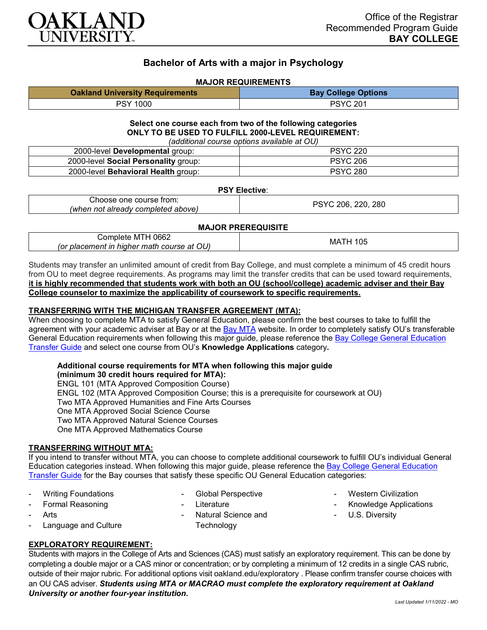

# **Bachelor of Arts with a major in Psychology**

#### **MAJOR REQUIREMENTS**

| <b>Oakland University Requirements</b> | <b>Bay College Options</b> |
|----------------------------------------|----------------------------|
| PSY 1000                               | PSYC 201                   |

#### **Select one course each from two of the following categories ONLY TO BE USED TO FULFILL 2000-LEVEL REQUIREMENT:** *(additional course options available at OU)*

| (auditional course options available at OOT |                 |
|---------------------------------------------|-----------------|
| 2000-level Developmental group:             | <b>PSYC 220</b> |
| 2000-level Social Personality group:        | <b>PSYC 206</b> |
| 2000-level <b>Behavioral Health</b> group:  | <b>PSYC 280</b> |

#### **PSY Elective**:

| trom:<br>∴hoose one<br>course      | .ບ. 280<br>220<br>206<br>עראנ |
|------------------------------------|-------------------------------|
| (when not already completed above) |                               |

#### **MAJOR PREREQUISITE**

| 0662<br>∶∩m<br>mplete<br>M<br>OU)<br>math c<br>$     -$<br>ın<br>hiahei<br>course<br>$\sim$<br>'Ol<br>сетепт<br><i>nar</i><br>dι | MA.<br>'UL |
|----------------------------------------------------------------------------------------------------------------------------------|------------|
|                                                                                                                                  |            |

Students may transfer an unlimited amount of credit from Bay College, and must complete a minimum of 45 credit hours from OU to meet degree requirements. As programs may limit the transfer credits that can be used toward requirements, **it is highly recommended that students work with both an OU (school/college) academic adviser and their Bay College counselor to maximize the applicability of coursework to specific requirements.**

#### **TRANSFERRING WITH THE MICHIGAN TRANSFER AGREEMENT (MTA):**

When choosing to complete MTA to satisfy General Education, please confirm the best courses to take to fulfill the agreement with your academic adviser at Bay or at the [Bay MTA](https://www.baycollege.edu/admissions/transfer/transfer-agreements.php) website. In order to completely satisfy OU's transferable General Education requirements when following this major guide, please reference the [Bay College General Education](https://www.oakland.edu/Assets/Oakland/program-guides/bay-college/university-general-education-requirements/Bay%20Gen%20Ed.pdf)  [Transfer Guide](https://www.oakland.edu/Assets/Oakland/program-guides/bay-college/university-general-education-requirements/Bay%20Gen%20Ed.pdf) and select one course from OU's **Knowledge Applications** category*.*

#### **Additional course requirements for MTA when following this major guide**

**(minimum 30 credit hours required for MTA):** ENGL 101 (MTA Approved Composition Course)

ENGL 102 (MTA Approved Composition Course; this is a prerequisite for coursework at OU)

Two MTA Approved Humanities and Fine Arts Courses

One MTA Approved Social Science Course

Two MTA Approved Natural Science Courses

One MTA Approved Mathematics Course

## **TRANSFERRING WITHOUT MTA:**

If you intend to transfer without MTA, you can choose to complete additional coursework to fulfill OU's individual General Education categories instead. When following this major guide, please reference the [Bay College General Education](https://www.oakland.edu/Assets/Oakland/program-guides/bay-college/university-general-education-requirements/Bay%20Gen%20Ed.pdf)  [Transfer Guide](https://www.oakland.edu/Assets/Oakland/program-guides/bay-college/university-general-education-requirements/Bay%20Gen%20Ed.pdf) for the Bay courses that satisfy these specific OU General Education categories:

**Writing Foundations** 

Global Perspective

- Formal Reasoning
- **Arts**
- **Literature**
- Natural Science and **Technology**
- **Western Civilization**
- Knowledge Applications
- U.S. Diversity

## **EXPLORATORY REQUIREMENT:**

Language and Culture

Students with majors in the College of Arts and Sciences (CAS) must satisfy an exploratory requirement. This can be done by completing a double major or a CAS minor or concentration; or by completing a minimum of 12 credits in a single CAS rubric, outside of their major rubric. For additional options visit [oakland.edu/exploratory](http://www.oakland.edu/exploratory) . Please confirm transfer course choices with an OU CAS adviser. *Students using MTA or MACRAO must complete the exploratory requirement at Oakland University or another four-year institution.*